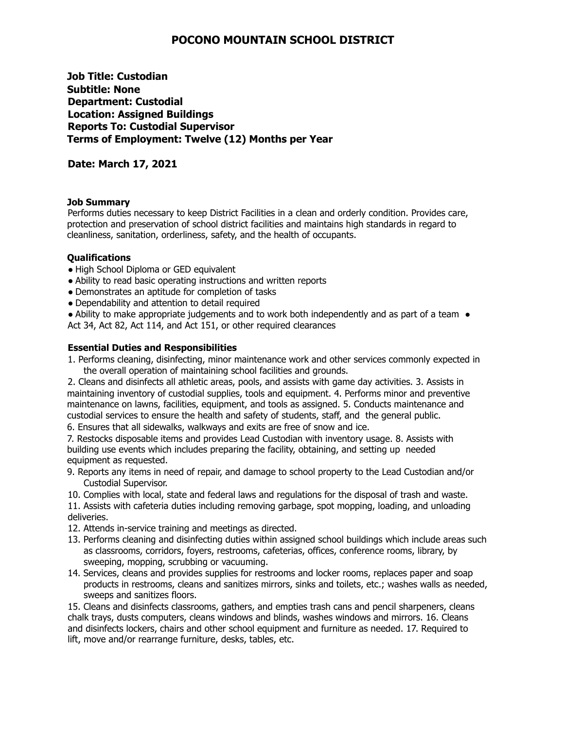# **POCONO MOUNTAIN SCHOOL DISTRICT**

**Job Title: Custodian Subtitle: None Department: Custodial Location: Assigned Buildings Reports To: Custodial Supervisor Terms of Employment: Twelve (12) Months per Year**

## **Date: March 17, 2021**

### **Job Summary**

Performs duties necessary to keep District Facilities in a clean and orderly condition. Provides care, protection and preservation of school district facilities and maintains high standards in regard to cleanliness, sanitation, orderliness, safety, and the health of occupants.

### **Qualifications**

- High School Diploma or GED equivalent
- Ability to read basic operating instructions and written reports
- Demonstrates an aptitude for completion of tasks
- Dependability and attention to detail required

• Ability to make appropriate judgements and to work both independently and as part of a team • Act 34, Act 82, Act 114, and Act 151, or other required clearances

### **Essential Duties and Responsibilities**

1. Performs cleaning, disinfecting, minor maintenance work and other services commonly expected in the overall operation of maintaining school facilities and grounds.

2. Cleans and disinfects all athletic areas, pools, and assists with game day activities. 3. Assists in maintaining inventory of custodial supplies, tools and equipment. 4. Performs minor and preventive maintenance on lawns, facilities, equipment, and tools as assigned. 5. Conducts maintenance and custodial services to ensure the health and safety of students, staff, and the general public.

6. Ensures that all sidewalks, walkways and exits are free of snow and ice.

7. Restocks disposable items and provides Lead Custodian with inventory usage. 8. Assists with building use events which includes preparing the facility, obtaining, and setting up needed equipment as requested.

- 9. Reports any items in need of repair, and damage to school property to the Lead Custodian and/or Custodial Supervisor.
- 10. Complies with local, state and federal laws and regulations for the disposal of trash and waste.

11. Assists with cafeteria duties including removing garbage, spot mopping, loading, and unloading deliveries.

- 12. Attends in-service training and meetings as directed.
- 13. Performs cleaning and disinfecting duties within assigned school buildings which include areas such as classrooms, corridors, foyers, restrooms, cafeterias, offices, conference rooms, library, by sweeping, mopping, scrubbing or vacuuming.
- 14. Services, cleans and provides supplies for restrooms and locker rooms, replaces paper and soap products in restrooms, cleans and sanitizes mirrors, sinks and toilets, etc.; washes walls as needed, sweeps and sanitizes floors.

15. Cleans and disinfects classrooms, gathers, and empties trash cans and pencil sharpeners, cleans chalk trays, dusts computers, cleans windows and blinds, washes windows and mirrors. 16. Cleans and disinfects lockers, chairs and other school equipment and furniture as needed. 17. Required to lift, move and/or rearrange furniture, desks, tables, etc.